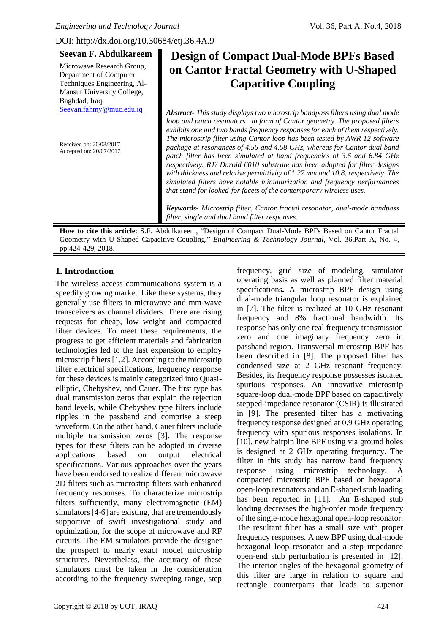DOI: http://dx.doi.org/10.30684/etj.36.4A.9

| <b>Seevan F. Abdulkareem</b>                                                        | <b>Design of Compact Dual-Mode BPFs Based</b>                                                                                                                                                                                                                                                                                                                                                                                                                                                                                                                                                                                                                                                                                                                                                                       |
|-------------------------------------------------------------------------------------|---------------------------------------------------------------------------------------------------------------------------------------------------------------------------------------------------------------------------------------------------------------------------------------------------------------------------------------------------------------------------------------------------------------------------------------------------------------------------------------------------------------------------------------------------------------------------------------------------------------------------------------------------------------------------------------------------------------------------------------------------------------------------------------------------------------------|
| Microwave Research Group,                                                           | on Cantor Fractal Geometry with U-Shaped                                                                                                                                                                                                                                                                                                                                                                                                                                                                                                                                                                                                                                                                                                                                                                            |
| Department of Computer<br>Techniques Engineering, Al-<br>Mansur University College, | <b>Capacitive Coupling</b>                                                                                                                                                                                                                                                                                                                                                                                                                                                                                                                                                                                                                                                                                                                                                                                          |
| Baghdad, Iraq.                                                                      |                                                                                                                                                                                                                                                                                                                                                                                                                                                                                                                                                                                                                                                                                                                                                                                                                     |
| Seevan.fahmy@muc.edu.iq<br>Received on: 20/03/2017<br>Accepted on: 20/07/2017       | <b>Abstract-</b> This study displays two microstrip bandpass filters using dual mode<br>loop and patch resonators in form of Cantor geometry. The proposed filters<br>exhibits one and two bands frequency responses for each of them respectively.<br>The microstrip filter using Cantor loop has been tested by AWR 12 software<br>package at resonances of 4.55 and 4.58 GHz, whereas for Cantor dual band<br>patch filter has been simulated at band frequencies of 3.6 and 6.84 GHz<br>respectively. RT/ Duroid 6010 substrate has been adopted for filter designs<br>with thickness and relative permittivity of $1.27$ mm and $10.8$ , respectively. The<br>simulated filters have notable miniaturization and frequency performances<br>that stand for looked-for facets of the contemporary wireless uses. |
|                                                                                     | Keywords- Microstrip filter, Cantor fractal resonator, dual-mode bandpass<br>filter, single and dual band filter responses.                                                                                                                                                                                                                                                                                                                                                                                                                                                                                                                                                                                                                                                                                         |

**How to cite this article**: S.F. Abdulkareem, "Design of Compact Dual-Mode BPFs Based on Cantor Fractal Geometry with U-Shaped Capacitive Coupling," *Engineering & Technology Journal*, Vol. 36,Part A, No. 4, pp.424-429, 2018.

# **1. Introduction**

The wireless access communications system is a speedily growing market. Like these systems, they generally use filters in microwave and mm-wave transceivers as channel dividers. There are rising requests for cheap, low weight and compacted filter devices. To meet these requirements, the progress to get efficient materials and fabrication technologies led to the fast expansion to employ microstrip filters [1,2]. According to the microstrip filter electrical specifications, frequency response for these devices is mainly categorized into Quasielliptic, Chebyshev, and Cauer. The first type has dual transmission zeros that explain the rejection band levels, while Chebyshev type filters include ripples in the passband and comprise a steep waveform. On the other hand, Cauer filters include multiple transmission zeros [3]. The response types for these filters can be adopted in diverse applications based on output electrical specifications. Various approaches over the years have been endorsed to realize different microwave 2D filters such as microstrip filters with enhanced frequency responses. To characterize microstrip filters sufficiently, many electromagnetic (EM) simulators [4-6] are existing, that are tremendously supportive of swift investigational study and optimization, for the scope of microwave and RF circuits. The EM simulators provide the designer the prospect to nearly exact model microstrip structures. Nevertheless, the accuracy of these simulators must be taken in the consideration according to the frequency sweeping range, step

frequency, grid size of modeling, simulator operating basis as well as planned filter material specifications*.* A microstrip BPF design using dual-mode triangular loop resonator is explained in [7]. The filter is realized at 10 GHz resonant frequency and 8% fractional bandwidth. Its response has only one real frequency transmission zero and one imaginary frequency zero in passband region. Transversal microstrip BPF has been described in [8]. The proposed filter has condensed size at 2 GHz resonant frequency. Besides, its frequency response possesses isolated spurious responses. An innovative microstrip square-loop dual-mode BPF based on capacitively stepped-impedance resonator (CSIR) is illustrated in [9]. The presented filter has a motivating frequency response designed at 0.9 GHz operating frequency with spurious responses isolations. In [10], new hairpin line BPF using via ground holes is designed at 2 GHz operating frequency. The filter in this study has narrow band frequency response using microstrip technology. A compacted microstrip BPF based on hexagonal open-loop resonators and an E-shaped stub loading has been reported in [11]. An E-shaped stub loading decreases the high-order mode frequency of the single-mode hexagonal open-loop resonator. The resultant filter has a small size with proper frequency responses. A new BPF using dual-mode hexagonal loop resonator and a step impedance open-end stub perturbation is presented in [12]. The interior angles of the hexagonal geometry of this filter are large in relation to square and rectangle counterparts that leads to superior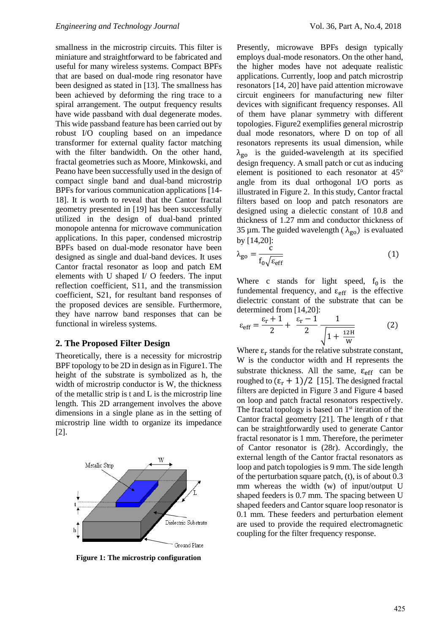smallness in the microstrip circuits. This filter is miniature and straightforward to be fabricated and useful for many wireless systems. Compact BPFs that are based on dual-mode ring resonator have been designed as stated in [13]. The smallness has been achieved by deforming the ring trace to a spiral arrangement. The output frequency results have wide passband with dual degenerate modes. This wide passband feature has been carried out by robust I/O coupling based on an impedance transformer for external quality factor matching with the filter bandwidth. On the other hand, fractal geometries such as Moore, Minkowski, and Peano have been successfully used in the design of compact single band and dual-band microstrip BPFs for various communication applications [14- 18]. It is worth to reveal that the Cantor fractal geometry presented in [19] has been successfully utilized in the design of dual-band printed monopole antenna for microwave communication applications. In this paper, condensed microstrip BPFs based on dual-mode resonator have been designed as single and dual-band devices. It uses Cantor fractal resonator as loop and patch EM elements with U shaped I/ O feeders. The input reflection coefficient, S11, and the transmission coefficient, S21, for resultant band responses of the proposed devices are sensible. Furthermore, they have narrow band responses that can be functional in wireless systems.

#### **2. The Proposed Filter Design**

Theoretically, there is a necessity for microstrip BPF topology to be 2D in design as in Figure1. The height of the substrate is symbolized as h, the width of microstrip conductor is W, the thickness of the metallic strip is t and L is the microstrip line length. This 2D arrangement involves the above dimensions in a single plane as in the setting of microstrip line width to organize its impedance [2].



**Figure 1: The microstrip configuration**

Presently, microwave BPFs design typically employs dual-mode resonators. On the other hand, the higher modes have not adequate realistic applications. Currently, loop and patch microstrip resonators [14, 20] have paid attention microwave circuit engineers for manufacturing new filter devices with significant frequency responses. All of them have planar symmetry with different topologies. Figure2 exemplifies general microstrip dual mode resonators, where D on top of all resonators represents its usual dimension, while  $\lambda_{\text{go}}$  is the guided-wavelength at its specified design frequency. A small patch or cut as inducing element is positioned to each resonator at 45° angle from its dual orthogonal I/O ports as illustrated in Figure 2. In this study, Cantor fractal filters based on loop and patch resonators are designed using a dielectic constant of 10.8 and thickness of 1.27 mm and conductor thickness of 35 µm. The guided wavelength ( $\lambda_{\alpha}$ ) is evaluated by [14,20]:

$$
\lambda_{\text{go}} = \frac{\dot{c}}{f_0 \sqrt{\varepsilon_{\text{eff}}}}
$$
(1)

Where c stands for light speed,  $f_0$  is the fundemental frequency, and  $\varepsilon_{\text{eff}}$  is the effective dielectric constant of the substrate that can be determined from [14,20]:

$$
\varepsilon_{\text{eff}} = \frac{\varepsilon_{\text{r}} + 1}{2} + \frac{\varepsilon_{\text{r}} - 1}{2} \frac{1}{\sqrt{1 + \frac{12\text{H}}{W}}} \tag{2}
$$

Where  $\varepsilon_r$  stands for the relative substrate constant, W is the conductor width and H represents the substrate thickness. All the same,  $\epsilon_{\text{eff}}$  can be roughed to  $(\epsilon_{\rm r} + 1)/2$  [15]. The designed fractal filters are depicted in Figure 3 and Figure 4 based on loop and patch fractal resonators respectively. The fractal topology is based on  $1<sup>st</sup>$  iteration of the Cantor fractal geometry [21]. The length of r that can be straightforwardly used to generate Cantor fractal resonator is 1 mm. Therefore, the perimeter of Cantor resonator is (28r). Accordingly, the external length of the Cantor fractal resonators as loop and patch topologies is 9 mm. The side length of the perturbation square patch, (t), is of about 0.3 mm whereas the width (w) of input/output U shaped feeders is 0.7 mm. The spacing between U shaped feeders and Cantor square loop resonator is 0.1 mm. These feeders and perturbation element are used to provide the required electromagnetic coupling for the filter frequency response.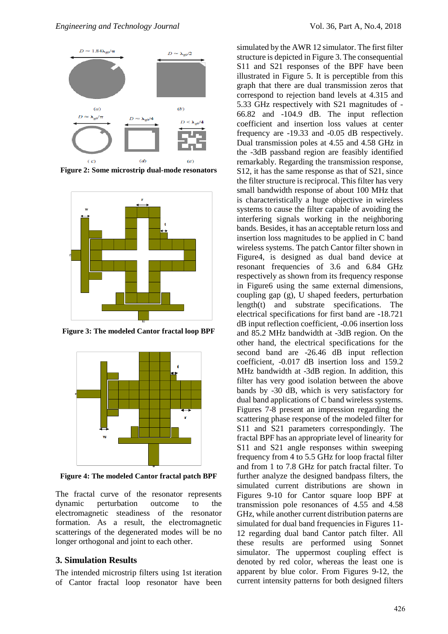

**Figure 2: Some microstrip dual-mode resonators**



**Figure 3: The modeled Cantor fractal loop BPF**



**Figure 4: The modeled Cantor fractal patch BPF**

The fractal curve of the resonator represents dynamic perturbation outcome to the electromagnetic steadiness of the resonator formation. As a result, the electromagnetic scatterings of the degenerated modes will be no longer orthogonal and joint to each other.

## **3. Simulation Results**

The intended microstrip filters using 1st iteration of Cantor fractal loop resonator have been simulated by the AWR 12 simulator. The first filter structure is depicted in Figure 3. The consequential S11 and S21 responses of the BPF have been illustrated in Figure 5. It is perceptible from this graph that there are dual transmission zeros that correspond to rejection band levels at 4.315 and 5.33 GHz respectively with S21 magnitudes of - 66.82 and -104.9 dB. The input reflection coefficient and insertion loss values at center frequency are -19.33 and -0.05 dB respectively. Dual transmission poles at 4.55 and 4.58 GHz in the -3dB passband region are feasibly identified remarkably. Regarding the transmission response, S12, it has the same response as that of S21, since the filter structure is reciprocal. This filter has very small bandwidth response of about 100 MHz that is characteristically a huge objective in wireless systems to cause the filter capable of avoiding the interfering signals working in the neighboring bands. Besides, it has an acceptable return loss and insertion loss magnitudes to be applied in C band wireless systems. The patch Cantor filter shown in Figure4, is designed as dual band device at resonant frequencies of 3.6 and 6.84 GHz respectively as shown from its frequency response in Figure6 using the same external dimensions, coupling gap (g), U shaped feeders, perturbation length(t) and substrate specifications. The electrical specifications for first band are -18.721 dB input reflection coefficient, -0.06 insertion loss and 85.2 MHz bandwidth at -3dB region. On the other hand, the electrical specifications for the second band are -26.46 dB input reflection coefficient, -0.017 dB insertion loss and 159.2 MHz bandwidth at -3dB region. In addition, this filter has very good isolation between the above bands by -30 dB, which is very satisfactory for dual band applications of C band wireless systems. Figures 7-8 present an impression regarding the scattering phase response of the modeled filter for S11 and S21 parameters correspondingly. The fractal BPF has an appropriate level of linearity for S11 and S21 angle responses within sweeping frequency from 4 to 5.5 GHz for loop fractal filter and from 1 to 7.8 GHz for patch fractal filter. To further analyze the designed bandpass filters, the simulated current distributions are shown in Figures 9-10 for Cantor square loop BPF at transmission pole resonances of 4.55 and 4.58 GHz, while another current distribution paterns are simulated for dual band frequencies in Figures 11- 12 regarding dual band Cantor patch filter. All these results are performed using Sonnet simulator. The uppermost coupling effect is denoted by red color, whereas the least one is apparent by blue color. From Figures 9-12, the current intensity patterns for both designed filters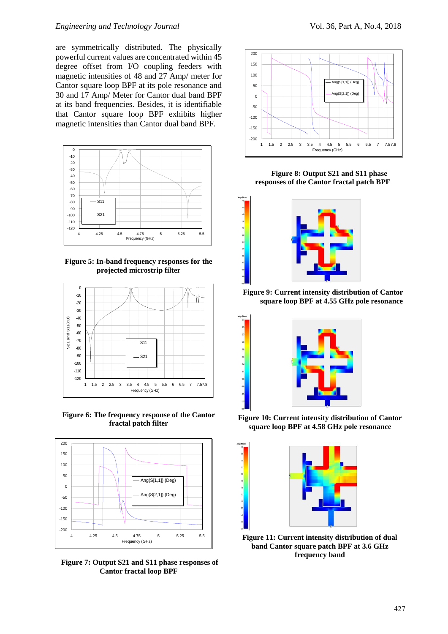#### *Engineering and Technology Journal* Vol. 36, Part A, No.4, 2018

are symmetrically distributed. The physically powerful current values are concentrated within 45 degree offset from I/O coupling feeders with magnetic intensities of 48 and 27 Amp/ meter for Cantor square loop BPF at its pole resonance and 30 and 17 Amp/ Meter for Cantor dual band BPF at its band frequencies. Besides, it is identifiable that Cantor square loop BPF exhibits higher magnetic intensities than Cantor dual band BPF.



**Figure 5: In-band frequency responses for the projected microstrip filter**



**Figure 6: The frequency response of the Cantor fractal patch filter**



**Figure 7: Output S21 and S11 phase responses of Cantor fractal loop BPF**



 **Figure 8: Output S21 and S11 phase responses of the Cantor fractal patch BPF**



**Figure 9: Current intensity distribution of Cantor square loop BPF at 4.55 GHz pole resonance**



**Figure 10: Current intensity distribution of Cantor square loop BPF at 4.58 GHz pole resonance**



**Figure 11: Current intensity distribution of dual band Cantor square patch BPF at 3.6 GHz frequency band**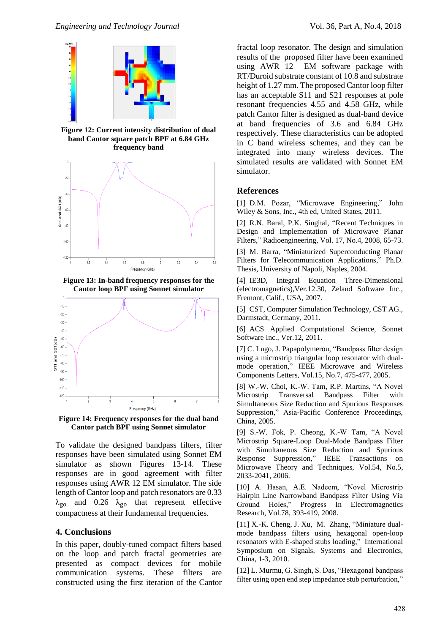

**Figure 12: Current intensity distribution of dual band Cantor square patch BPF at 6.84 GHz frequency band**



**Figure 13: In-band frequency responses for the Cantor loop BPF using Sonnet simulator**



**Figure 14: Frequency responses for the dual band Cantor patch BPF using Sonnet simulator**

To validate the designed bandpass filters, filter responses have been simulated using Sonnet EM simulator as shown Figures 13-14. These responses are in good agreement with filter responses using AWR 12 EM simulator. The side length of Cantor loop and patch resonators are 0.33  $\lambda_{\rm go}$  and 0.26  $\lambda_{\rm go}$  that represent effective compactness at their fundamental frequencies.

### **4. Conclusions**

In this paper, doubly-tuned compact filters based on the loop and patch fractal geometries are presented as compact devices for mobile communication systems. These filters are constructed using the first iteration of the Cantor fractal loop resonator. The design and simulation results of the proposed filter have been examined using AWR 12 EM software package with RT/Duroid substrate constant of 10.8 and substrate height of 1.27 mm. The proposed Cantor loop filter has an acceptable S11 and S21 responses at pole resonant frequencies 4.55 and 4.58 GHz, while patch Cantor filter is designed as dual-band device at band frequencies of 3.6 and 6.84 GHz respectively. These characteristics can be adopted in C band wireless schemes, and they can be integrated into many wireless devices. The simulated results are validated with Sonnet EM simulator.

# **References**

[1] D.M. Pozar, "Microwave Engineering," John Wiley & Sons, Inc., 4th ed, United States, 2011.

[2] R.N. Baral, P.K. Singhal, "Recent Techniques in Design and Implementation of Microwave Planar Filters," Radioengineering, Vol. 17, No.4, 2008, 65-73.

[3] M. Barra, "Miniaturized Superconducting Planar Filters for Telecommunication Applications," Ph.D. Thesis, University of Napoli, Naples, 2004.

[4] IE3D, Integral Equation Three-Dimensional (electromagnetics),Ver.12.30, Zeland Software Inc., Fremont, Calif., USA, 2007.

[5] CST, Computer Simulation Technology, CST AG., Darmstadt, Germany, 2011.

[6] ACS Applied Computational Science, Sonnet Software Inc., Ver.12, 2011.

[7] C. Lugo, J. Papapolymerou, "Bandpass filter design using a microstrip triangular loop resonator with dualmode operation," [IEEE Microwave and Wireless](http://ieeexplore.ieee.org/xpl/RecentIssue.jsp?punumber=7260)  [Components Letters,](http://ieeexplore.ieee.org/xpl/RecentIssue.jsp?punumber=7260) Vol.15, No.7, 475-477, 2005.

[8] W.-W. Choi, K.-W. Tam, R.P. Martins, "A Novel Microstrip Transversal Bandpass Filter with Simultaneous Size Reduction and Spurious Responses Suppression," Asia-Pacific Conference Proceedings, China, 2005.

[9] S.-W. Fok, P. Cheong, K.-W Tam, "A Novel Microstrip Square-Loop Dual-Mode Bandpass Filter with Simultaneous Size Reduction and Spurious Response Suppression," IEEE Transactions on Microwave Theory and Techniques, Vol.54, No.5, 2033-2041, 2006.

[10] A. Hasan, A.E. Nadeem, "Novel Microstrip Hairpin Line Narrowband Bandpass Filter Using Via Ground Holes," Progress In Electromagnetics Research, Vol.78, 393-419, 2008.

[11] X.-K. Cheng, J. X[u,](http://ieeexplore.ieee.org/search/searchresult.jsp?searchWithin=%22Authors%22:.QT.Jun%20Xu.QT.&newsearch=true) M. Zhan[g, "](http://ieeexplore.ieee.org/search/searchresult.jsp?searchWithin=%22Authors%22:.QT.Min%20Zhang.QT.&newsearch=true)[Miniature dual](http://ieeexplore.ieee.org/xpl/articleDetails.jsp?arnumber=5607117&newsearch=true&queryText=dual%20mode%20filter%202010)mode bandpass filters [using hexagonal open-loop](http://ieeexplore.ieee.org/xpl/articleDetails.jsp?arnumber=5607117&newsearch=true&queryText=dual%20mode%20filter%202010)  [resonators with E-shaped stubs loading,"](http://ieeexplore.ieee.org/xpl/articleDetails.jsp?arnumber=5607117&newsearch=true&queryText=dual%20mode%20filter%202010) [International](http://ieeexplore.ieee.org/xpl/mostRecentIssue.jsp?punumber=5598558)  [Symposium on Signals, Systems and Electronics,](http://ieeexplore.ieee.org/xpl/mostRecentIssue.jsp?punumber=5598558)  China, 1-3, 2010.

[12] L. Murmu, G. Singh, S. Das, "Hexagonal bandpass filter using open end step impedance stub perturbation,"